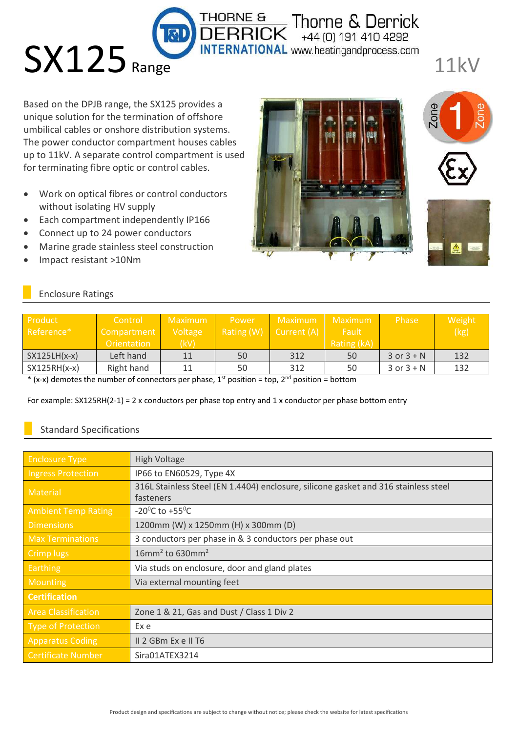Based on the DPJB range, the SX125 provides a unique solution for the termination of offshore umbilical cables or onshore distribution systems. The power conductor compartment houses cables up to 11kV. A separate control compartment is used for terminating fibre optic or control cables.

- Work on optical fibres or control conductors without isolating HV supply
- Each compartment independently IP166
- Connect up to 24 power conductors

**SX125** Range

- Marine grade stainless steel construction
- Impact resistant >10Nm



Thorne & Derrick<br>+44 (0) 191 410 4292

**INTERNATIONAL** www.heatingandprocess.com

11kV

# Enclosure Ratings

| Product<br>Reference* | Control<br>Compartment<br>Orientation | Maximum<br>Voltage<br>(kV) | Power | Maximum<br>Rating $(W)$ Current $(A)$ | Maximum<br>Fault<br>Rating (kA) | Phase          | Weight<br>(kg) |
|-----------------------|---------------------------------------|----------------------------|-------|---------------------------------------|---------------------------------|----------------|----------------|
| $SX125LH(x-x)$        | Left hand                             | 11                         | 50    | 312                                   | 50                              | $3$ or $3 + N$ | 132            |
| $SX125RH(x-x)$        | Right hand                            | 11                         | 50    | 312                                   | 50                              | $3$ or $3 + N$ | 132            |

**THORNE &** 

\* (x-x) demotes the number of connectors per phase,  $1<sup>st</sup>$  position = top,  $2<sup>nd</sup>$  position = bottom

For example: SX125RH(2-1) = 2 x conductors per phase top entry and 1 x conductor per phase bottom entry

## Standard Specifications

| <b>Enclosure Type</b>      | <b>High Voltage</b>                                                                 |  |  |
|----------------------------|-------------------------------------------------------------------------------------|--|--|
| <b>Ingress Protection</b>  | IP66 to EN60529, Type 4X                                                            |  |  |
| <b>Material</b>            | 316L Stainless Steel (EN 1.4404) enclosure, silicone gasket and 316 stainless steel |  |  |
|                            | fasteners                                                                           |  |  |
| <b>Ambient Temp Rating</b> | -20 <sup>°</sup> C to +55 <sup>°</sup> C                                            |  |  |
| <b>Dimensions</b>          | 1200mm (W) x 1250mm (H) x 300mm (D)                                                 |  |  |
| <b>Max Terminations</b>    | 3 conductors per phase in & 3 conductors per phase out                              |  |  |
| Crimp lugs                 | $16$ mm <sup>2</sup> to 630mm <sup>2</sup>                                          |  |  |
| <b>Earthing</b>            | Via studs on enclosure, door and gland plates                                       |  |  |
| <b>Mounting</b>            | Via external mounting feet                                                          |  |  |
| <b>Certification</b>       |                                                                                     |  |  |
| <b>Area Classification</b> | Zone 1 & 21, Gas and Dust / Class 1 Div 2                                           |  |  |
| Type of Protection         | Ex e                                                                                |  |  |
| <b>Apparatus Coding</b>    | II 2 GBm Ex e II T6                                                                 |  |  |
| <b>Certificate Number</b>  | Sira01ATEX3214                                                                      |  |  |